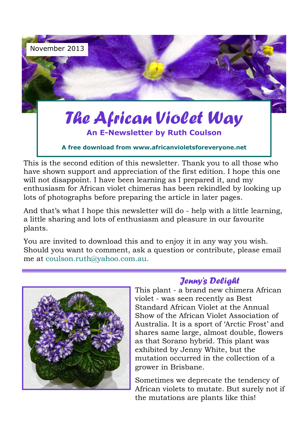

This is the second edition of this newsletter. Thank you to all those who have shown support and appreciation of the first edition. I hope this one will not disappoint. I have been learning as I prepared it, and my enthusiasm for African violet chimeras has been rekindled by looking up lots of photographs before preparing the article in later pages.

And that's what I hope this newsletter will do - help with a little learning, a little sharing and lots of enthusiasm and pleasure in our favourite plants.

You are invited to download this and to enjoy it in any way you wish. Should you want to comment, ask a question or contribute, please email me at coulson.ruth@yahoo.com.au.



# Jenny's Delight

This plant - a brand new chimera African violet - was seen recently as Best Standard African Violet at the Annual Show of the African Violet Association of Australia. It is a sport of 'Arctic Frost' and shares same large, almost double, flowers as that Sorano hybrid. This plant was exhibited by Jenny White, but the mutation occurred in the collection of a grower in Brisbane.

Sometimes we deprecate the tendency of African violets to mutate. But surely not if the mutations are plants like this!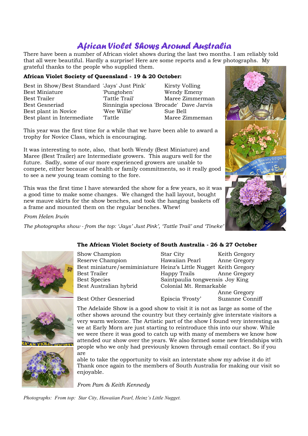# African Violet Shows Around Australia

There have been a number of African violet shows during the last two months. I am reliably told that all were beautiful. Hardly a surprise! Here are some reports and a few photographs. My grateful thanks to the people who supplied them.

### African Violet Society of Queensland - 19 & 20 October:

|                | Kirsty Volling                               |
|----------------|----------------------------------------------|
| 'Pungtohen'    | Wendy Emeny                                  |
| 'Tattle Trail' | Maree Zimmerman                              |
|                | Sinningia speciosa 'Brocade' Dave Jarvis     |
| 'Wee Willie'   | Sue Bell                                     |
| 'Tattle        | Maree Zimmeman                               |
|                | Best in Show/Best Standard 'Jays' Just Pink' |

This year was the first time for a while that we have been able to award a trophy for Novice Class, which is encouraging.

It was interesting to note, also, that both Wendy (Best Miniature) and Maree (Best Trailer) are Intermediate growers. This augurs well for the future. Sadly, some of our more experienced growers are unable to compete, either because of health or family commitments, so it really good to see a new young team coming to the fore.

This was the first time I have stewarded the show for a few years, so it was a good time to make some changes. We changed the hall layout, bought new mauve skirts for the show benches, and took the hanging baskets off a frame and mounted them on the regular benches. Whew!

From Helen Irwin

The photographs show - from the top: 'Jays' Just Pink', 'Tattle Trail' and 'Tineke'

## The African Violet Society of South Australia - 26 & 27 October







| Show Champion                                                    | Star City                       | Keith Gregory |
|------------------------------------------------------------------|---------------------------------|---------------|
| Reserve Champion                                                 | Hawaiian Pearl                  | Anne Gregory  |
| Best miniature/semiminiature Heinz's Little Nugget Keith Gregory |                                 |               |
| Best Trailer                                                     | Happy Trails                    | Anne Gregory  |
| Best Species                                                     | Saintpaulia tongwensis Joy King |               |
| Best Australian hybrid                                           | Colonial Mt. Remarkable         |               |
|                                                                  |                                 | Anne Gregory  |

Best Other Gesneriad Episcia 'Frosty' Suzanne Conniff

The Adelaide Show is a good show to visit it is not as large as some of the other shows around the country but they certainly give interstate visitors a very warm welcome. The Artistic part of the show I found very interesting as we at Early Morn are just starting to reintroduce this into our show. While we were there it was good to catch up with many of members we know how attended our show over the years. We also formed some new friendships with people who we only had previously known through email contact. So if you are

able to take the opportunity to visit an interstate show my advise it do it! Thank once again to the members of South Australia for making our visit so enjoyable.

From Pam & Keith Kennedy

Photographs: From top: Star City, Hawaiian Pearl, Heinz's Little Nugget.

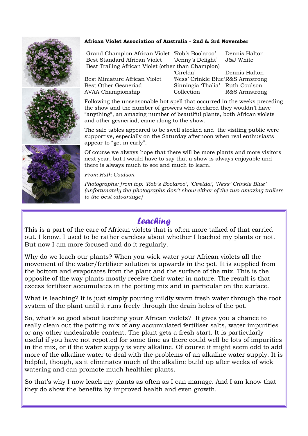

#### African Violet Association of Australia - 2nd & 3rd November

Grand Champion African Violet 'Rob's Boolaroo' Dennis Halton<br>Best Standard African Violet 'Jenny's Delight' J&J White Best Standard African Violet Best Trailing African Violet (other than Champion) 'Cirelda' Dennis Halton Best Miniature African Violet 'Ness' Crinkle Blue' R&S Armstrong

Best Other Gesneriad Sinningia Thalia' Ruth Coulson AVAA Championship Collection R&S Armstrong

Following the unseasonable hot spell that occurred in the weeks preceding the show and the number of growers who declared they wouldn't have "anything", an amazing number of beautiful plants, both African violets and other gesneriad, came along to the show.

The sale tables appeared to be swell stocked and the visiting public were supportive, especially on the Saturday afternoon when real enthusiasts appear to "get in early".

Of course we always hope that there will be more plants and more visitors next year, but I would have to say that a show is always enjoyable and there is always much to see and much to learn.

From Ruth Coulson

Photographs: from top: 'Rob's Boolaroo', 'Cirelda', 'Ness' Crinkle Blue' (unfortunately the photographs don't show either of the two amazing trailers to the best advantage)

## Leaching

This is a part of the care of African violets that is often more talked of that carried out. I know. I used to be rather careless about whether I leached my plants or not. But now I am more focused and do it regularly.

Why do we leach our plants? When you wick water your African violets all the movement of the water/fertiliser solution is upwards in the pot. It is supplied from the bottom and evaporates from the plant and the surface of the mix. This is the opposite of the way plants mostly receive their water in nature. The result is that excess fertiliser accumulates in the potting mix and in particular on the surface.

What is leaching? It is just simply pouring mildly warm fresh water through the root system of the plant until it runs freely through the drain holes of the pot.

So, what's so good about leaching your African violets? It gives you a chance to really clean out the potting mix of any accumulated fertiliser salts, water impurities or any other undesirable content. The plant gets a fresh start. It is particularly useful if you have not repotted for some time as there could well be lots of impurities in the mix, or if the water supply is very alkaline. Of course it might seem odd to add more of the alkaline water to deal with the problems of an alkaline water supply. It is helpful, though, as it eliminates much of the alkaline build up after weeks of wick watering and can promote much healthier plants.

So that's why I now leach my plants as often as I can manage. And I am know that they do show the benefits by improved health and even growth.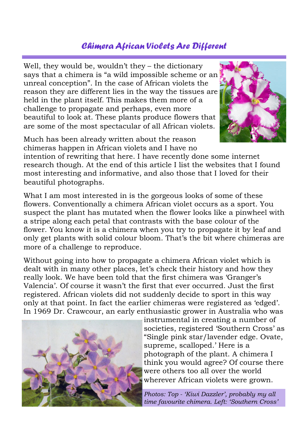# Chimera African Violets Are Different

Well, they would be, wouldn't they – the dictionary says that a chimera is "a wild impossible scheme or an unreal conception". In the case of African violets the reason they are different lies in the way the tissues are held in the plant itself. This makes them more of a challenge to propagate and perhaps, even more beautiful to look at. These plants produce flowers that are some of the most spectacular of all African violets.



Much has been already written about the reason chimeras happen in African violets and I have no

intention of rewriting that here. I have recently done some internet research though. At the end of this article I list the websites that I found most interesting and informative, and also those that I loved for their beautiful photographs.

What I am most interested in is the gorgeous looks of some of these flowers. Conventionally a chimera African violet occurs as a sport. You suspect the plant has mutated when the flower looks like a pinwheel with a stripe along each petal that contrasts with the base colour of the flower. You know it is a chimera when you try to propagate it by leaf and only get plants with solid colour bloom. That's the bit where chimeras are more of a challenge to reproduce.

Without going into how to propagate a chimera African violet which is dealt with in many other places, let's check their history and how they really look. We have been told that the first chimera was 'Granger's Valencia'. Of course it wasn't the first that ever occurred. Just the first registered. African violets did not suddenly decide to sport in this way only at that point. In fact the earlier chimeras were registered as 'edged'. In 1969 Dr. Crawcour, an early enthusiastic grower in Australia who was



instrumental in creating a number of societies, registered 'Southern Cross' as "Single pink star/lavender edge. Ovate, supreme, scalloped.' Here is a photograph of the plant. A chimera I think you would agree? Of course there were others too all over the world wherever African violets were grown.

Photos: Top - 'Kiwi Dazzler', probably my all time favourite chimera. Left: 'Southern Cross'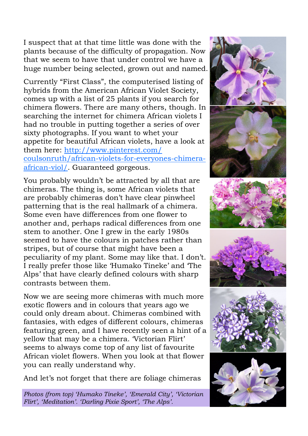I suspect that at that time little was done with the plants because of the difficulty of propagation. Now that we seem to have that under control we have a huge number being selected, grown out and named.

Currently "First Class", the computerised listing of hybrids from the American African Violet Society, comes up with a list of 25 plants if you search for chimera flowers. There are many others, though. In searching the internet for chimera African violets I had no trouble in putting together a series of over sixty photographs. If you want to whet your appetite for beautiful African violets, have a look at them here: http://www.pinterest.com/ coulsonruth/african-violets-for-everyones-chimeraafrican-viol/. Guaranteed gorgeous.

You probably wouldn't be attracted by all that are chimeras. The thing is, some African violets that are probably chimeras don't have clear pinwheel patterning that is the real hallmark of a chimera. Some even have differences from one flower to another and, perhaps radical differences from one stem to another. One I grew in the early 1980s seemed to have the colours in patches rather than stripes, but of course that might have been a peculiarity of my plant. Some may like that. I don't. I really prefer those like 'Humako Tineke' and 'The Alps' that have clearly defined colours with sharp contrasts between them.

Now we are seeing more chimeras with much more exotic flowers and in colours that years ago we could only dream about. Chimeras combined with fantasies, with edges of different colours, chimeras featuring green, and I have recently seen a hint of a yellow that may be a chimera. 'Victorian Flirt' seems to always come top of any list of favourite African violet flowers. When you look at that flower you can really understand why.

And let's not forget that there are foliage chimeras

Photos (from top) 'Humako Tineke', 'Emerald City', 'Victorian Flirt', 'Meditation'. 'Darling Pixie Sport', 'The Alps'.